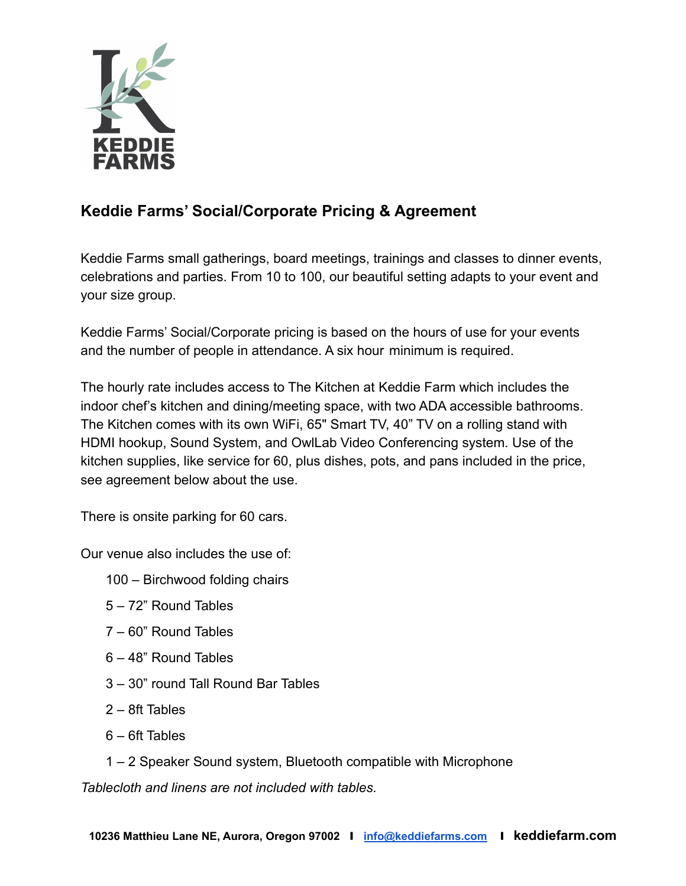

# **Keddie Farms' Social/Corporate Pricing & Agreement**

Keddie Farms small gatherings, board meetings, trainings and classes to dinner events, celebrations and parties. From 10 to 100, our beautiful setting adapts to your event and your size group.

Keddie Farms' Social/Corporate pricing is based on the hours of use for your events and the number of people in attendance. A six hour minimum is required.

The hourly rate includes access to The Kitchen at Keddie Farm which includes the indoor chef's kitchen and dining/meeting space, with two ADA accessible bathrooms. The Kitchen comes with its own WiFi, 65" Smart TV, 40" TV on a rolling stand with HDMI hookup, Sound System, and OwlLab Video Conferencing system. Use of the kitchen supplies, like service for 60, plus dishes, pots, and pans included in the price, see agreement below about the use.

There is onsite parking for 60 cars.

Our venue also includes the use of:

- 100 Birchwood folding chairs
- 5 72" Round Tables
- 7 60" Round Tables
- 6 48" Round Tables
- 3 30" round Tall Round Bar Tables
- 2 8ft Tables
- 6 6ft Tables
- 1 2 Speaker Sound system, Bluetooth compatible with Microphone

*Tablecloth and linens are not included with tables.*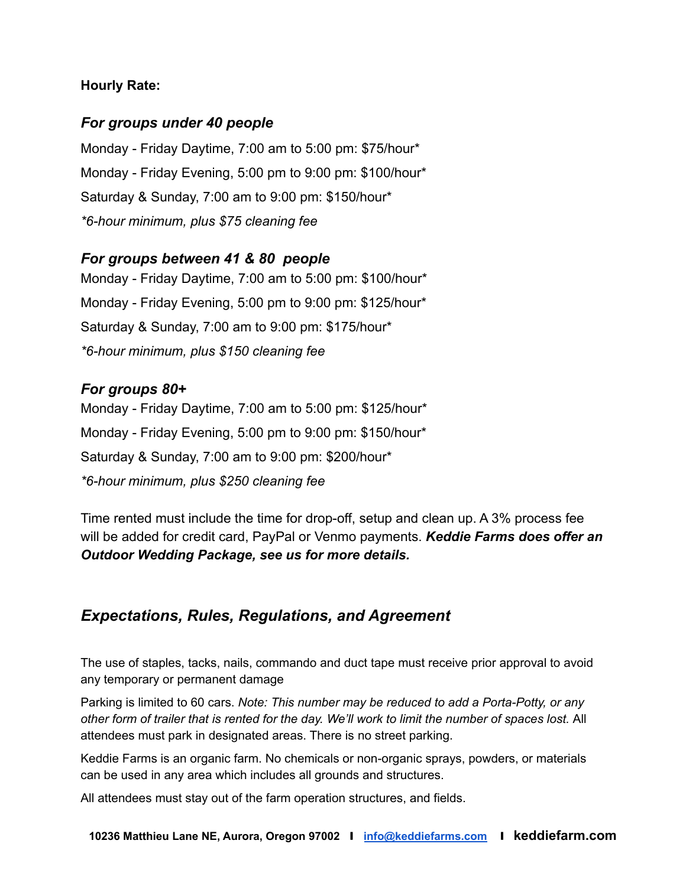# **Hourly Rate:**

# *For groups under 40 people*

Monday - Friday Daytime, 7:00 am to 5:00 pm: \$75/hour\* Monday - Friday Evening, 5:00 pm to 9:00 pm: \$100/hour\* Saturday & Sunday, 7:00 am to 9:00 pm: \$150/hour\* *\*6-hour minimum, plus \$75 cleaning fee*

## *For groups between 41 & 80 people*

Monday - Friday Daytime, 7:00 am to 5:00 pm: \$100/hour\* Monday - Friday Evening, 5:00 pm to 9:00 pm: \$125/hour\* Saturday & Sunday, 7:00 am to 9:00 pm: \$175/hour\* *\*6-hour minimum, plus \$150 cleaning fee*

# *For groups 80+*

Monday - Friday Daytime, 7:00 am to 5:00 pm: \$125/hour\* Monday - Friday Evening, 5:00 pm to 9:00 pm: \$150/hour\* Saturday & Sunday, 7:00 am to 9:00 pm: \$200/hour\* *\*6-hour minimum, plus \$250 cleaning fee*

Time rented must include the time for drop-off, setup and clean up. A 3% process fee will be added for credit card, PayPal or Venmo payments. *Keddie Farms does offer an Outdoor Wedding Package, see us for more details.*

# *Expectations, Rules, Regulations, and Agreement*

The use of staples, tacks, nails, commando and duct tape must receive prior approval to avoid any temporary or permanent damage

Parking is limited to 60 cars. *Note: This number may be reduced to add a Porta-Potty, or any* other form of trailer that is rented for the day. We'll work to limit the number of spaces lost. All attendees must park in designated areas. There is no street parking.

Keddie Farms is an organic farm. No chemicals or non-organic sprays, powders, or materials can be used in any area which includes all grounds and structures.

All attendees must stay out of the farm operation structures, and fields.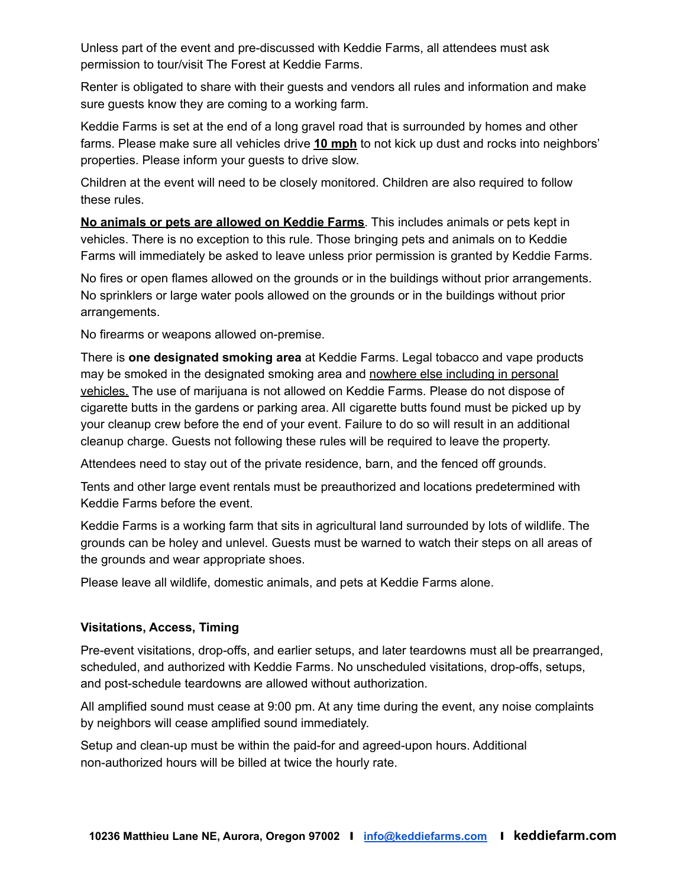Unless part of the event and pre-discussed with Keddie Farms, all attendees must ask permission to tour/visit The Forest at Keddie Farms.

Renter is obligated to share with their guests and vendors all rules and information and make sure guests know they are coming to a working farm.

Keddie Farms is set at the end of a long gravel road that is surrounded by homes and other farms. Please make sure all vehicles drive **10 mph** to not kick up dust and rocks into neighbors' properties. Please inform your guests to drive slow.

Children at the event will need to be closely monitored. Children are also required to follow these rules.

**No animals or pets are allowed on Keddie Farms**. This includes animals or pets kept in vehicles. There is no exception to this rule. Those bringing pets and animals on to Keddie Farms will immediately be asked to leave unless prior permission is granted by Keddie Farms.

No fires or open flames allowed on the grounds or in the buildings without prior arrangements. No sprinklers or large water pools allowed on the grounds or in the buildings without prior arrangements.

No firearms or weapons allowed on-premise.

There is **one designated smoking area** at Keddie Farms. Legal tobacco and vape products may be smoked in the designated smoking area and nowhere else including in personal vehicles. The use of marijuana is not allowed on Keddie Farms. Please do not dispose of cigarette butts in the gardens or parking area. All cigarette butts found must be picked up by your cleanup crew before the end of your event. Failure to do so will result in an additional cleanup charge. Guests not following these rules will be required to leave the property.

Attendees need to stay out of the private residence, barn, and the fenced off grounds.

Tents and other large event rentals must be preauthorized and locations predetermined with Keddie Farms before the event.

Keddie Farms is a working farm that sits in agricultural land surrounded by lots of wildlife. The grounds can be holey and unlevel. Guests must be warned to watch their steps on all areas of the grounds and wear appropriate shoes.

Please leave all wildlife, domestic animals, and pets at Keddie Farms alone.

## **Visitations, Access, Timing**

Pre-event visitations, drop-offs, and earlier setups, and later teardowns must all be prearranged, scheduled, and authorized with Keddie Farms. No unscheduled visitations, drop-offs, setups, and post-schedule teardowns are allowed without authorization.

All amplified sound must cease at 9:00 pm. At any time during the event, any noise complaints by neighbors will cease amplified sound immediately.

Setup and clean-up must be within the paid-for and agreed-upon hours. Additional non-authorized hours will be billed at twice the hourly rate.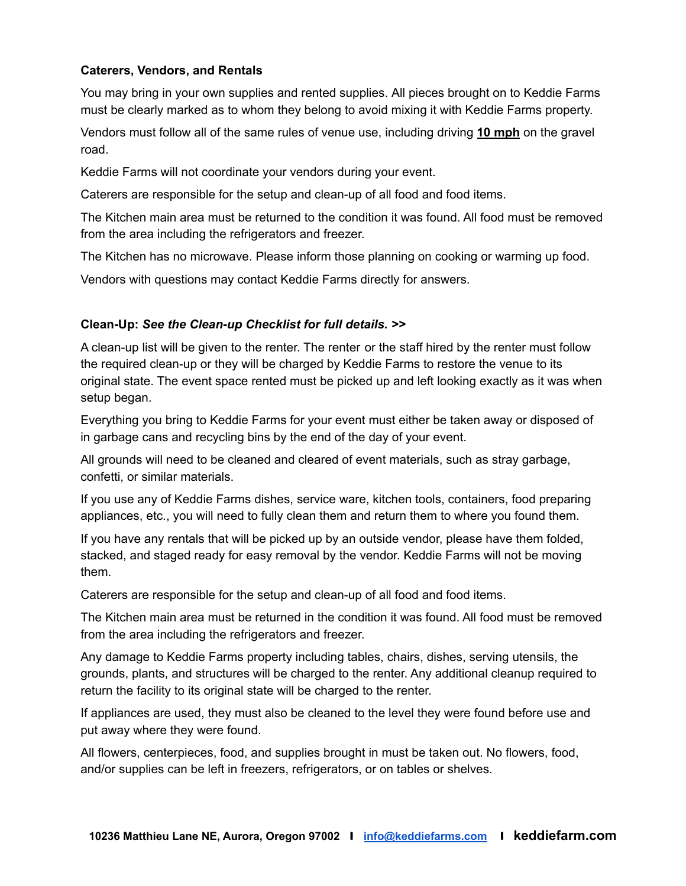#### **Caterers, Vendors, and Rentals**

You may bring in your own supplies and rented supplies. All pieces brought on to Keddie Farms must be clearly marked as to whom they belong to avoid mixing it with Keddie Farms property.

Vendors must follow all of the same rules of venue use, including driving **10 mph** on the gravel road.

Keddie Farms will not coordinate your vendors during your event.

Caterers are responsible for the setup and clean-up of all food and food items.

The Kitchen main area must be returned to the condition it was found. All food must be removed from the area including the refrigerators and freezer.

The Kitchen has no microwave. Please inform those planning on cooking or warming up food.

Vendors with questions may contact Keddie Farms directly for answers.

#### **Clean-Up:** *See the Clean-up Checklist for full details. >>*

A clean-up list will be given to the renter. The renter or the staff hired by the renter must follow the required clean-up or they will be charged by Keddie Farms to restore the venue to its original state. The event space rented must be picked up and left looking exactly as it was when setup began.

Everything you bring to Keddie Farms for your event must either be taken away or disposed of in garbage cans and recycling bins by the end of the day of your event.

All grounds will need to be cleaned and cleared of event materials, such as stray garbage, confetti, or similar materials.

If you use any of Keddie Farms dishes, service ware, kitchen tools, containers, food preparing appliances, etc., you will need to fully clean them and return them to where you found them.

If you have any rentals that will be picked up by an outside vendor, please have them folded, stacked, and staged ready for easy removal by the vendor. Keddie Farms will not be moving them.

Caterers are responsible for the setup and clean-up of all food and food items.

The Kitchen main area must be returned in the condition it was found. All food must be removed from the area including the refrigerators and freezer.

Any damage to Keddie Farms property including tables, chairs, dishes, serving utensils, the grounds, plants, and structures will be charged to the renter. Any additional cleanup required to return the facility to its original state will be charged to the renter.

If appliances are used, they must also be cleaned to the level they were found before use and put away where they were found.

All flowers, centerpieces, food, and supplies brought in must be taken out. No flowers, food, and/or supplies can be left in freezers, refrigerators, or on tables or shelves.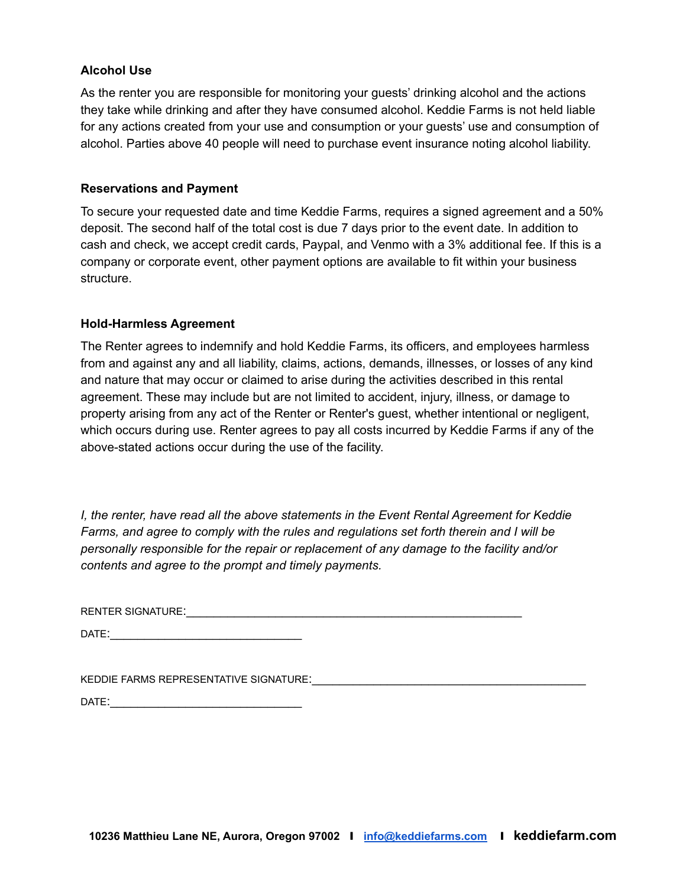#### **Alcohol Use**

As the renter you are responsible for monitoring your guests' drinking alcohol and the actions they take while drinking and after they have consumed alcohol. Keddie Farms is not held liable for any actions created from your use and consumption or your guests' use and consumption of alcohol. Parties above 40 people will need to purchase event insurance noting alcohol liability.

#### **Reservations and Payment**

To secure your requested date and time Keddie Farms, requires a signed agreement and a 50% deposit. The second half of the total cost is due 7 days prior to the event date. In addition to cash and check, we accept credit cards, Paypal, and Venmo with a 3% additional fee. If this is a company or corporate event, other payment options are available to fit within your business structure.

#### **Hold-Harmless Agreement**

The Renter agrees to indemnify and hold Keddie Farms, its officers, and employees harmless from and against any and all liability, claims, actions, demands, illnesses, or losses of any kind and nature that may occur or claimed to arise during the activities described in this rental agreement. These may include but are not limited to accident, injury, illness, or damage to property arising from any act of the Renter or Renter's guest, whether intentional or negligent, which occurs during use. Renter agrees to pay all costs incurred by Keddie Farms if any of the above-stated actions occur during the use of the facility.

*I, the renter, have read all the above statements in the Event Rental Agreement for Keddie Farms, and agree to comply with the rules and regulations set forth therein and I will be personally responsible for the repair or replacement of any damage to the facility and/or contents and agree to the prompt and timely payments.*

RENTER SIGNATURE:  $\blacksquare$ 

DATE:

KEDDIE FARMS REPRESENTATIVE SIGNATURE:

 $\mathsf{DATE}:\mathsf{DATE} \rightarrow \mathsf{DATE}$